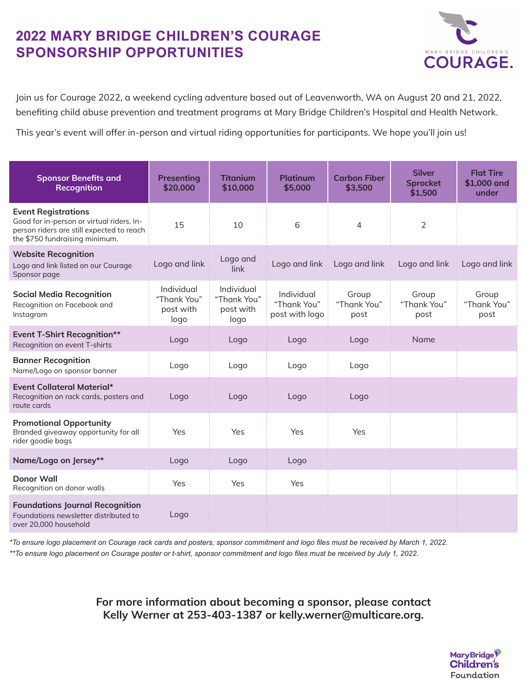## **2022 MARY BRIDGE CHILDREN'S COURAGE SPONSORSHIP OPPORTUNITIES**



Join us for Courage 2022, a weekend cycling adventure based out of Leavenworth, WA on August 20 and 21, 2022, benefiting child abuse prevention and treatment programs at Mary Bridge Children's Hospital and Health Network.

This year's event will offer in-person and virtual riding opportunities for participants. We hope you'll join us!

| <b>Sponsor Benefits and</b><br>Recognition                                                                                                             | Presenting<br>\$20,000                         | <b>Titanium</b><br>\$10,000                    | <b>Platinum</b><br>\$5,000                  | <b>Carbon Fiber</b><br>\$3,500 | <b>Silver</b><br><b>Sprocket</b><br>\$1,500 | <b>Flat Tire</b><br>\$1,000 and<br>under |
|--------------------------------------------------------------------------------------------------------------------------------------------------------|------------------------------------------------|------------------------------------------------|---------------------------------------------|--------------------------------|---------------------------------------------|------------------------------------------|
| <b>Event Registrations</b><br>Good for in-person or virtual riders. In-<br>person riders are still expected to reach<br>the \$750 fundraising minimum. | 15                                             | 10                                             | 6                                           | $\overline{4}$                 | $\overline{2}$                              |                                          |
| <b>Website Recognition</b><br>Logo and link listed on our Courage<br>Sponsor page                                                                      | Logo and link                                  | Logo and<br>link                               | Logo and link                               | Logo and link                  | Logo and link                               | Logo and link                            |
| <b>Social Media Recognition</b><br>Recognition on Facebook and<br>Instagram                                                                            | Individual<br>"Thank You"<br>post with<br>logo | Individual<br>"Thank You"<br>post with<br>logo | Individual<br>"Thank You"<br>post with logo | Group<br>"Thank You"<br>post   | Group<br>"Thank You"<br>post                | Group<br>"Thank You"<br>post             |
| <b>Event T-Shirt Recognition**</b><br>Recognition on event T-shirts                                                                                    | Logo                                           | Logo                                           | Logo                                        | Logo                           | <b>Name</b>                                 |                                          |
| <b>Banner Recognition</b><br>Name/Logo on sponsor banner                                                                                               | Logo                                           | Logo                                           | Logo                                        | Logo                           |                                             |                                          |
| <b>Event Collateral Material*</b><br>Recognition on rack cards, posters and<br>route cards                                                             | Logo                                           | Logo                                           | Logo                                        | Logo                           |                                             |                                          |
| <b>Promotional Opportunity</b><br>Branded giveaway opportunity for all<br>rider goodie bags                                                            | Yes                                            | Yes                                            | Yes                                         | Yes                            |                                             |                                          |
| Name/Logo on Jersey**                                                                                                                                  | Logo                                           | Logo                                           | Logo                                        |                                |                                             |                                          |
| <b>Donor Wall</b><br>Recognition on donor walls                                                                                                        | Yes                                            | Yes                                            | Yes                                         |                                |                                             |                                          |
| <b>Foundations Journal Recognition</b><br>Foundations newsletter distributed to<br>over 20,000 household                                               | Logo                                           |                                                |                                             |                                |                                             |                                          |

*\*To ensure logo placement on Courage rack cards and posters, sponsor commitment and logo files must be received by March 1, 2022. \*\*To ensure logo placement on Courage poster or t-shirt, sponsor commitment and logo files must be received by July 1, 2022.*

> **For more information about becoming a sponsor, please contact Kelly Werner at 253-403-1387 or kelly.werner@multicare.org.**